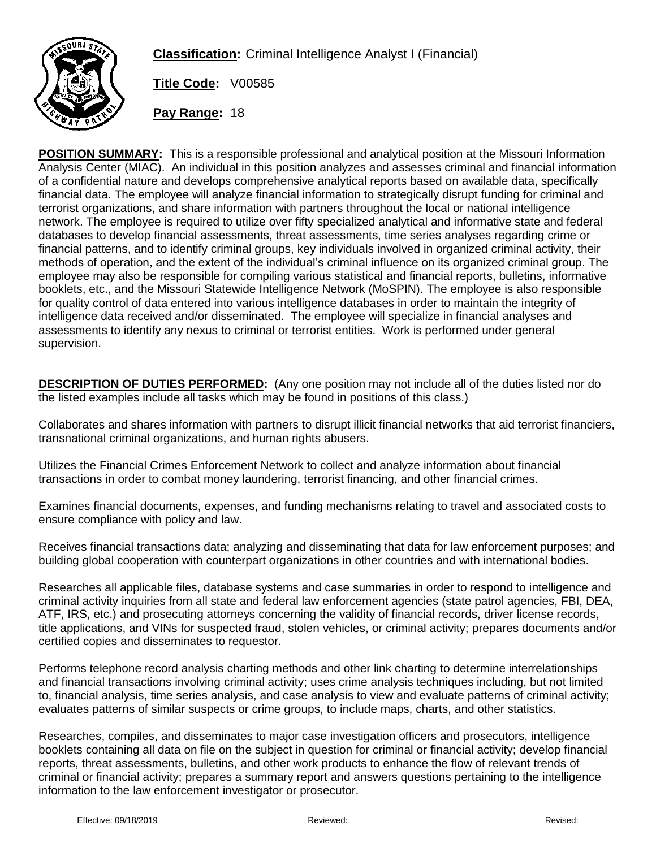

**Classification:** Criminal Intelligence Analyst I (Financial)

**Title Code:** V00585

**Pay Range:** 18

**POSITION SUMMARY:** This is a responsible professional and analytical position at the Missouri Information Analysis Center (MIAC). An individual in this position analyzes and assesses criminal and financial information of a confidential nature and develops comprehensive analytical reports based on available data, specifically financial data. The employee will analyze financial information to strategically disrupt funding for criminal and terrorist organizations, and share information with partners throughout the local or national intelligence network. The employee is required to utilize over fifty specialized analytical and informative state and federal databases to develop financial assessments, threat assessments, time series analyses regarding crime or financial patterns, and to identify criminal groups, key individuals involved in organized criminal activity, their methods of operation, and the extent of the individual's criminal influence on its organized criminal group. The employee may also be responsible for compiling various statistical and financial reports, bulletins, informative booklets, etc., and the Missouri Statewide Intelligence Network (MoSPIN). The employee is also responsible for quality control of data entered into various intelligence databases in order to maintain the integrity of intelligence data received and/or disseminated. The employee will specialize in financial analyses and assessments to identify any nexus to criminal or terrorist entities. Work is performed under general supervision.

**DESCRIPTION OF DUTIES PERFORMED:** (Any one position may not include all of the duties listed nor do the listed examples include all tasks which may be found in positions of this class.)

Collaborates and shares information with partners to disrupt illicit financial networks that aid terrorist financiers, transnational criminal organizations, and human rights abusers.

Utilizes the Financial Crimes Enforcement Network to collect and analyze information about financial transactions in order to combat money laundering, terrorist financing, and other financial crimes.

Examines financial documents, expenses, and funding mechanisms relating to travel and associated costs to ensure compliance with policy and law.

Receives financial transactions data; analyzing and disseminating that data for law enforcement purposes; and building global cooperation with counterpart organizations in other countries and with international bodies.

Researches all applicable files, database systems and case summaries in order to respond to intelligence and criminal activity inquiries from all state and federal law enforcement agencies (state patrol agencies, FBI, DEA, ATF, IRS, etc.) and prosecuting attorneys concerning the validity of financial records, driver license records, title applications, and VINs for suspected fraud, stolen vehicles, or criminal activity; prepares documents and/or certified copies and disseminates to requestor.

Performs telephone record analysis charting methods and other link charting to determine interrelationships and financial transactions involving criminal activity; uses crime analysis techniques including, but not limited to, financial analysis, time series analysis, and case analysis to view and evaluate patterns of criminal activity; evaluates patterns of similar suspects or crime groups, to include maps, charts, and other statistics.

Researches, compiles, and disseminates to major case investigation officers and prosecutors, intelligence booklets containing all data on file on the subject in question for criminal or financial activity; develop financial reports, threat assessments, bulletins, and other work products to enhance the flow of relevant trends of criminal or financial activity; prepares a summary report and answers questions pertaining to the intelligence information to the law enforcement investigator or prosecutor.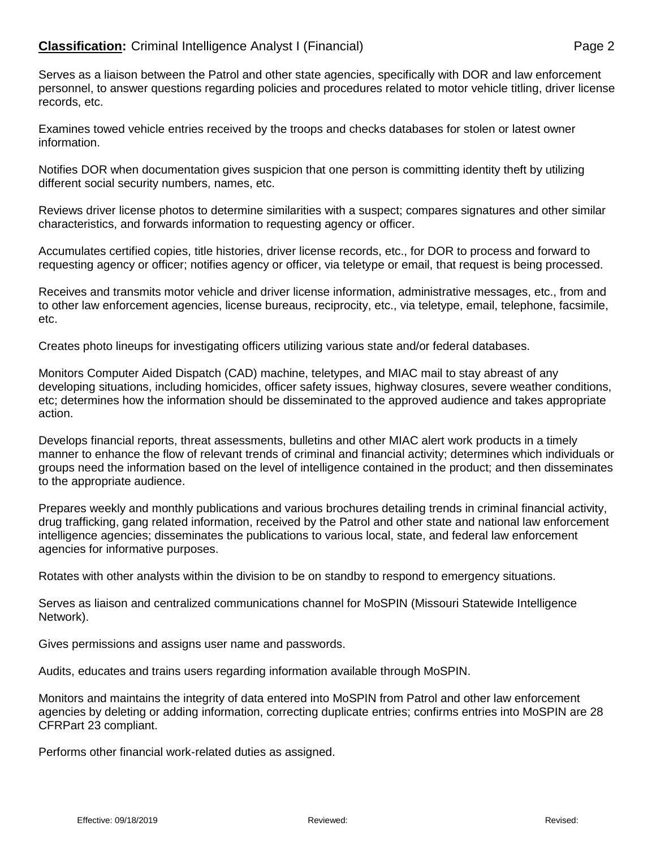## **Classification:** Criminal Intelligence Analyst I (Financial) **Page 2** Page 2

Serves as a liaison between the Patrol and other state agencies, specifically with DOR and law enforcement personnel, to answer questions regarding policies and procedures related to motor vehicle titling, driver license records, etc.

Examines towed vehicle entries received by the troops and checks databases for stolen or latest owner information.

Notifies DOR when documentation gives suspicion that one person is committing identity theft by utilizing different social security numbers, names, etc.

Reviews driver license photos to determine similarities with a suspect; compares signatures and other similar characteristics, and forwards information to requesting agency or officer.

Accumulates certified copies, title histories, driver license records, etc., for DOR to process and forward to requesting agency or officer; notifies agency or officer, via teletype or email, that request is being processed.

Receives and transmits motor vehicle and driver license information, administrative messages, etc., from and to other law enforcement agencies, license bureaus, reciprocity, etc., via teletype, email, telephone, facsimile, etc.

Creates photo lineups for investigating officers utilizing various state and/or federal databases.

Monitors Computer Aided Dispatch (CAD) machine, teletypes, and MIAC mail to stay abreast of any developing situations, including homicides, officer safety issues, highway closures, severe weather conditions, etc; determines how the information should be disseminated to the approved audience and takes appropriate action.

Develops financial reports, threat assessments, bulletins and other MIAC alert work products in a timely manner to enhance the flow of relevant trends of criminal and financial activity; determines which individuals or groups need the information based on the level of intelligence contained in the product; and then disseminates to the appropriate audience.

Prepares weekly and monthly publications and various brochures detailing trends in criminal financial activity, drug trafficking, gang related information, received by the Patrol and other state and national law enforcement intelligence agencies; disseminates the publications to various local, state, and federal law enforcement agencies for informative purposes.

Rotates with other analysts within the division to be on standby to respond to emergency situations.

Serves as liaison and centralized communications channel for MoSPIN (Missouri Statewide Intelligence Network).

Gives permissions and assigns user name and passwords.

Audits, educates and trains users regarding information available through MoSPIN.

Monitors and maintains the integrity of data entered into MoSPIN from Patrol and other law enforcement agencies by deleting or adding information, correcting duplicate entries; confirms entries into MoSPIN are 28 CFRPart 23 compliant.

Performs other financial work-related duties as assigned.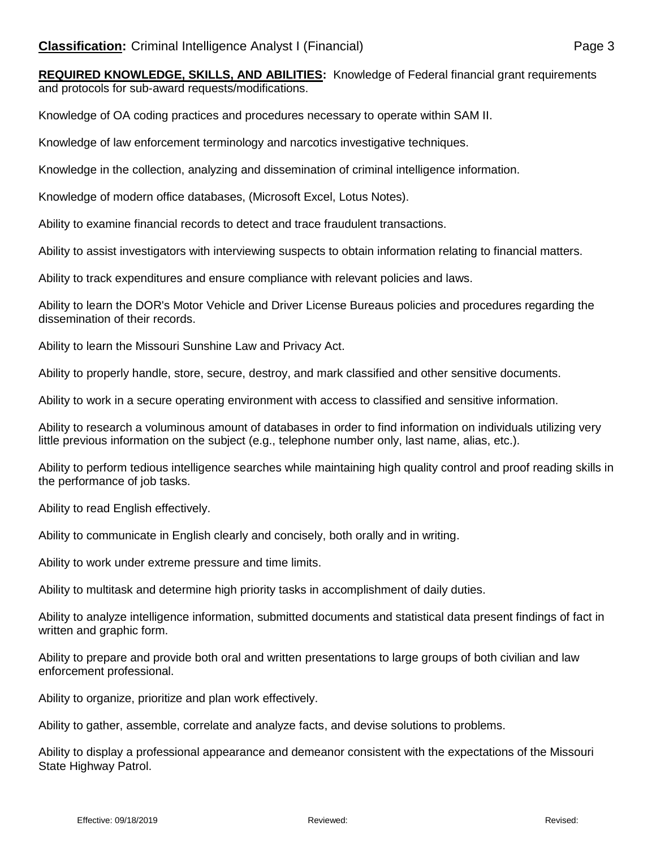**REQUIRED KNOWLEDGE, SKILLS, AND ABILITIES:** Knowledge of Federal financial grant requirements and protocols for sub-award requests/modifications.

Knowledge of OA coding practices and procedures necessary to operate within SAM II.

Knowledge of law enforcement terminology and narcotics investigative techniques.

Knowledge in the collection, analyzing and dissemination of criminal intelligence information.

Knowledge of modern office databases, (Microsoft Excel, Lotus Notes).

Ability to examine financial records to detect and trace fraudulent transactions.

Ability to assist investigators with interviewing suspects to obtain information relating to financial matters.

Ability to track expenditures and ensure compliance with relevant policies and laws.

Ability to learn the DOR's Motor Vehicle and Driver License Bureaus policies and procedures regarding the dissemination of their records.

Ability to learn the Missouri Sunshine Law and Privacy Act.

Ability to properly handle, store, secure, destroy, and mark classified and other sensitive documents.

Ability to work in a secure operating environment with access to classified and sensitive information.

Ability to research a voluminous amount of databases in order to find information on individuals utilizing very little previous information on the subject (e.g., telephone number only, last name, alias, etc.).

Ability to perform tedious intelligence searches while maintaining high quality control and proof reading skills in the performance of job tasks.

Ability to read English effectively.

Ability to communicate in English clearly and concisely, both orally and in writing.

Ability to work under extreme pressure and time limits.

Ability to multitask and determine high priority tasks in accomplishment of daily duties.

Ability to analyze intelligence information, submitted documents and statistical data present findings of fact in written and graphic form.

Ability to prepare and provide both oral and written presentations to large groups of both civilian and law enforcement professional.

Ability to organize, prioritize and plan work effectively.

Ability to gather, assemble, correlate and analyze facts, and devise solutions to problems.

Ability to display a professional appearance and demeanor consistent with the expectations of the Missouri State Highway Patrol.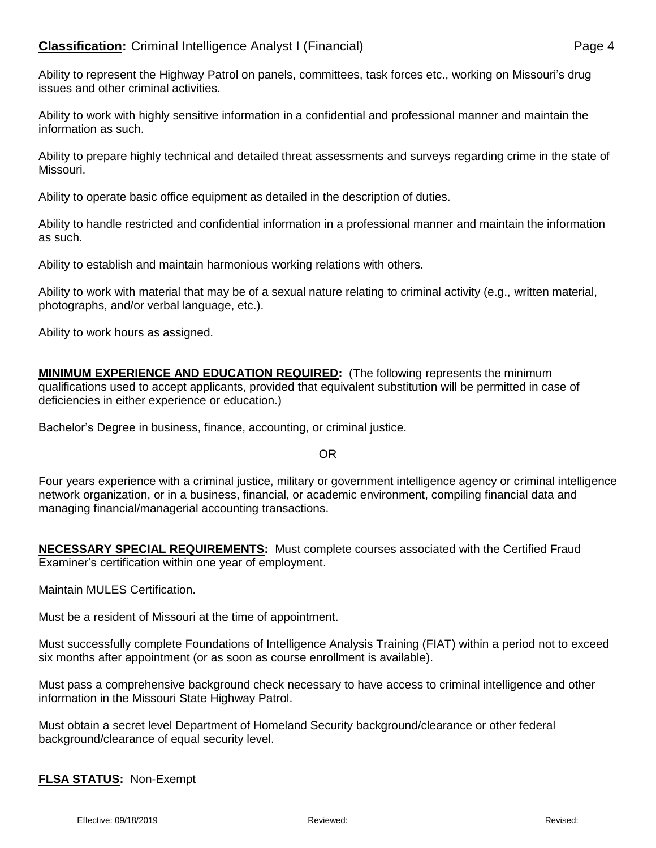Ability to represent the Highway Patrol on panels, committees, task forces etc., working on Missouri's drug issues and other criminal activities.

Ability to work with highly sensitive information in a confidential and professional manner and maintain the information as such.

Ability to prepare highly technical and detailed threat assessments and surveys regarding crime in the state of Missouri.

Ability to operate basic office equipment as detailed in the description of duties.

Ability to handle restricted and confidential information in a professional manner and maintain the information as such.

Ability to establish and maintain harmonious working relations with others.

Ability to work with material that may be of a sexual nature relating to criminal activity (e.g., written material, photographs, and/or verbal language, etc.).

Ability to work hours as assigned.

**MINIMUM EXPERIENCE AND EDUCATION REQUIRED:** (The following represents the minimum qualifications used to accept applicants, provided that equivalent substitution will be permitted in case of deficiencies in either experience or education.)

Bachelor's Degree in business, finance, accounting, or criminal justice.

OR

Four years experience with a criminal justice, military or government intelligence agency or criminal intelligence network organization, or in a business, financial, or academic environment, compiling financial data and managing financial/managerial accounting transactions.

**NECESSARY SPECIAL REQUIREMENTS:** Must complete courses associated with the Certified Fraud Examiner's certification within one year of employment.

Maintain MULES Certification.

Must be a resident of Missouri at the time of appointment.

Must successfully complete Foundations of Intelligence Analysis Training (FIAT) within a period not to exceed six months after appointment (or as soon as course enrollment is available).

Must pass a comprehensive background check necessary to have access to criminal intelligence and other information in the Missouri State Highway Patrol.

Must obtain a secret level Department of Homeland Security background/clearance or other federal background/clearance of equal security level.

**FLSA STATUS:** Non-Exempt